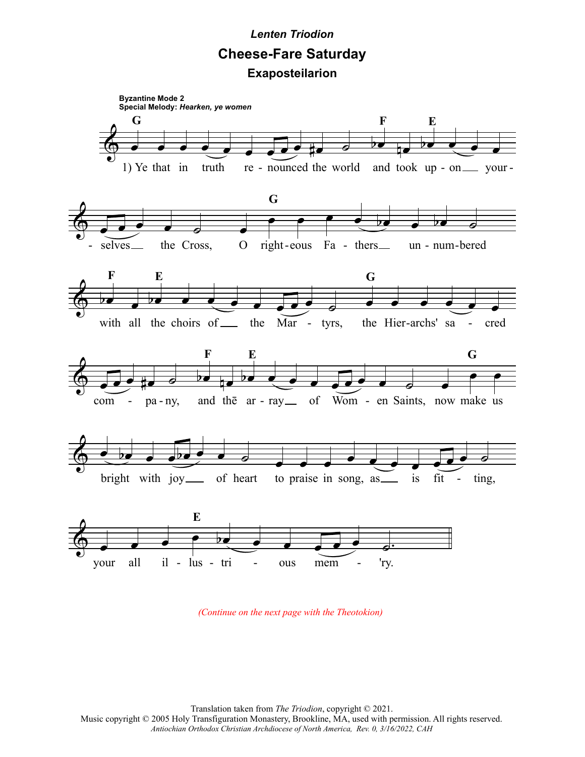## *Lenten Triodion* **Cheese-Fare Saturday**

**Exaposteilarion**



*(Continue on the next page with the Theotokion)*

Translation taken from *The Triodion*, copyright © 2021. Music copyright © 2005 Holy Transfiguration Monastery, Brookline, MA, used with permission. All rights reserved.

*Antiochian Orthodox Christian Archdiocese of North America, Rev. 0, 3/16/2022, CAH*